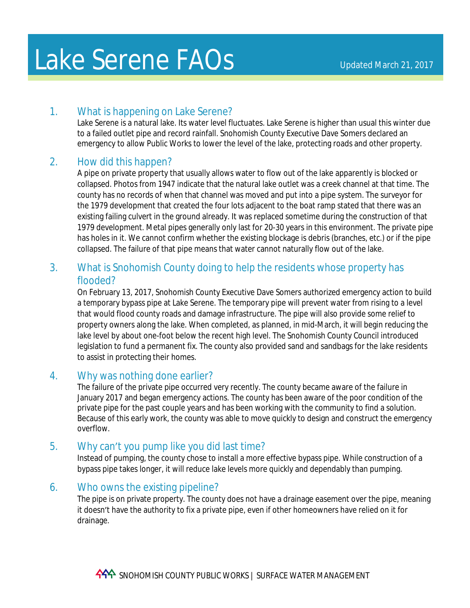# 1. What is happening on Lake Serene?

Lake Serene is a natural lake. Its water level fluctuates. Lake Serene is higher than usual this winter due to a failed outlet pipe and record rainfall. Snohomish County Executive Dave Somers declared an emergency to allow Public Works to lower the level of the lake, protecting roads and other property.

## 2. How did this happen?

A pipe on private property that usually allows water to flow out of the lake apparently is blocked or collapsed. Photos from 1947 indicate that the natural lake outlet was a creek channel at that time. The county has no records of when that channel was moved and put into a pipe system. The surveyor for the 1979 development that created the four lots adjacent to the boat ramp stated that there was an existing failing culvert in the ground already. It was replaced sometime during the construction of that 1979 development. Metal pipes generally only last for 20-30 years in this environment. The private pipe has holes in it. We cannot confirm whether the existing blockage is debris (branches, etc.) or if the pipe collapsed. The failure of that pipe means that water cannot naturally flow out of the lake.

## 3. What is Snohomish County doing to help the residents whose property has flooded?

On February 13, 2017, Snohomish County Executive Dave Somers authorized emergency action to build a temporary bypass pipe at Lake Serene. The temporary pipe will prevent water from rising to a level that would flood county roads and damage infrastructure. The pipe will also provide some relief to property owners along the lake. When completed, as planned, in mid-March, it will begin reducing the lake level by about one-foot below the recent high level. The Snohomish County Council introduced legislation to fund a permanent fix. The county also provided sand and sandbags for the lake residents to assist in protecting their homes.

### 4. Why was nothing done earlier?

The failure of the private pipe occurred very recently. The county became aware of the failure in January 2017 and began emergency actions. The county has been aware of the poor condition of the private pipe for the past couple years and has been working with the community to find a solution. Because of this early work, the county was able to move quickly to design and construct the emergency overflow.

# 5. Why can't you pump like you did last time?

Instead of pumping, the county chose to install a more effective bypass pipe. While construction of a bypass pipe takes longer, it will reduce lake levels more quickly and dependably than pumping.

### 6. Who owns the existing pipeline?

The pipe is on private property. The county does not have a drainage easement over the pipe, meaning it doesn't have the authority to fix a private pipe, even if other homeowners have relied on it for drainage.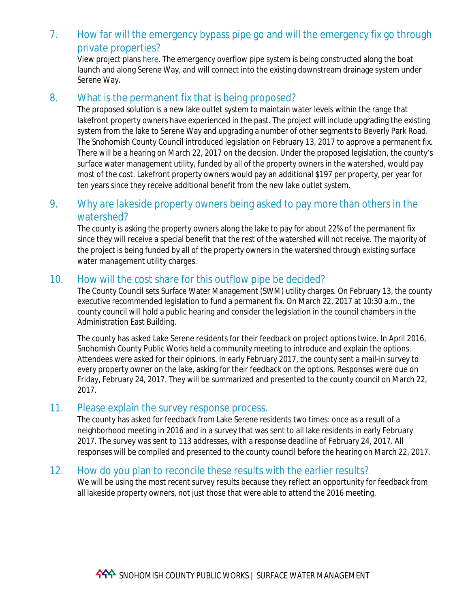### 7. How far will the emergency bypass pipe go and will the emergency fix go through private properties?

View project plans [here](http://www.snohomishcountywa.gov/DocumentCenter/View/41358). The emergency overflow pipe system is being constructed along the boat launch and along Serene Way, and will connect into the existing downstream drainage system under Serene Way.

#### 8. What is the permanent fix that is being proposed?

The proposed solution is a new lake outlet system to maintain water levels within the range that lakefront property owners have experienced in the past. The project will include upgrading the existing system from the lake to Serene Way and upgrading a number of other segments to Beverly Park Road. The Snohomish County Council introduced legislation on February 13, 2017 to approve a permanent fix. There will be a hearing on March 22, 2017 on the decision. Under the proposed legislation, the county's surface water management utility, funded by all of the property owners in the watershed, would pay most of the cost. Lakefront property owners would pay an additional \$197 per property, per year for ten years since they receive additional benefit from the new lake outlet system.

### 9. Why are lakeside property owners being asked to pay more than others in the watershed?

The county is asking the property owners along the lake to pay for about 22% of the permanent fix since they will receive a special benefit that the rest of the watershed will not receive. The majority of the project is being funded by all of the property owners in the watershed through existing surface water management utility charges.

#### 10. How will the cost share for this outflow pipe be decided?

The County Council sets Surface Water Management (SWM) utility charges. On February 13, the county executive recommended legislation to fund a permanent fix. On March 22, 2017 at 10:30 a.m., the county council will hold a public hearing and consider the legislation in the council chambers in the Administration East Building.

The county has asked Lake Serene residents for their feedback on project options twice. In April 2016, Snohomish County Public Works held a community meeting to introduce and explain the options. Attendees were asked for their opinions. In early February 2017, the county sent a mail-in survey to every property owner on the lake, asking for their feedback on the options. Responses were due on Friday, February 24, 2017. They will be summarized and presented to the county council on March 22, 2017.

#### 11. Please explain the survey response process.

The county has asked for feedback from Lake Serene residents two times: once as a result of a neighborhood meeting in 2016 and in a survey that was sent to all lake residents in early February 2017. The survey was sent to 113 addresses, with a response deadline of February 24, 2017. All responses will be compiled and presented to the county council before the hearing on March 22, 2017.

#### 12. How do you plan to reconcile these results with the earlier results?

We will be using the most recent survey results because they reflect an opportunity for feedback from all lakeside property owners, not just those that were able to attend the 2016 meeting.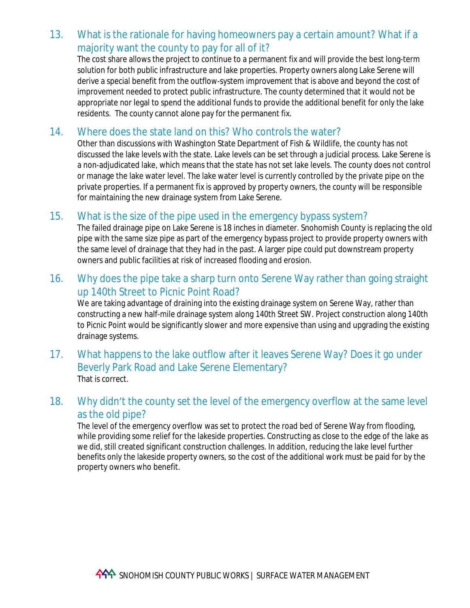## 13. What is the rationale for having homeowners pay a certain amount? What if a majority want the county to pay for all of it?

The cost share allows the project to continue to a permanent fix and will provide the best long-term solution for both public infrastructure and lake properties. Property owners along Lake Serene will derive a special benefit from the outflow-system improvement that is above and beyond the cost of improvement needed to protect public infrastructure. The county determined that it would not be appropriate nor legal to spend the additional funds to provide the additional benefit for only the lake residents. The county cannot alone pay for the permanent fix.

## 14. Where does the state land on this? Who controls the water?

Other than discussions with Washington State Department of Fish & Wildlife, the county has not discussed the lake levels with the state. Lake levels can be set through a judicial process. Lake Serene is a non-adjudicated lake, which means that the state has not set lake levels. The county does not control or manage the lake water level. The lake water level is currently controlled by the private pipe on the private properties. If a permanent fix is approved by property owners, the county will be responsible for maintaining the new drainage system from Lake Serene.

### 15. What is the size of the pipe used in the emergency bypass system?

The failed drainage pipe on Lake Serene is 18 inches in diameter. Snohomish County is replacing the old pipe with the same size pipe as part of the emergency bypass project to provide property owners with the same level of drainage that they had in the past. A larger pipe could put downstream property owners and public facilities at risk of increased flooding and erosion.

### 16. Why does the pipe take a sharp turn onto Serene Way rather than going straight up 140th Street to Picnic Point Road?

We are taking advantage of draining into the existing drainage system on Serene Way, rather than constructing a new half-mile drainage system along 140th Street SW. Project construction along 140th to Picnic Point would be significantly slower and more expensive than using and upgrading the existing drainage systems.

17. What happens to the lake outflow after it leaves Serene Way? Does it go under Beverly Park Road and Lake Serene Elementary? That is correct.

### 18. Why didn't the county set the level of the emergency overflow at the same level as the old pipe?

The level of the emergency overflow was set to protect the road bed of Serene Way from flooding, while providing some relief for the lakeside properties. Constructing as close to the edge of the lake as we did, still created significant construction challenges. In addition, reducing the lake level further benefits only the lakeside property owners, so the cost of the additional work must be paid for by the property owners who benefit.